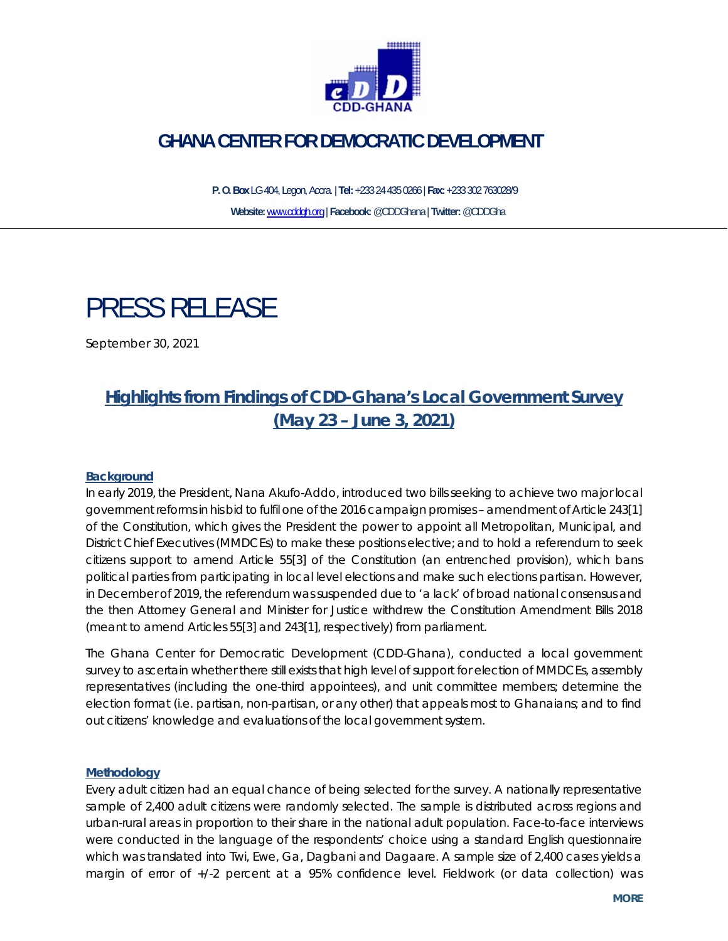

# **GHANA CENTER FOR DEMOCRATIC DEVELOPMENT**

 **P. O. Box** LG 404, Legon, Accra. | **Tel:** +233 24 435 0266 | **Fax:** +233 302 763028/9 **Website:** www.cddgh.org | **Facebook:** @CDDGhana | **Twitter:** @CDDGha

# PRESS RELEASE

September 30, 2021

# **Highlights from Findings of CDD-Ghana's Local Government Survey (May 23 – June 3, 2021)**

#### **Background**

In early 2019, the President, Nana Akufo-Addo, introduced two bills seeking to achieve two major local government reforms in his bid to fulfil one of the 2016 campaign promises – amendment of Article 243[1] of the Constitution, which gives the President the power to appoint all Metropolitan, Municipal, and District Chief Executives (MMDCEs) to make these positions elective; and to hold a referendum to seek citizens support to amend Article 55[3] of the Constitution (an entrenched provision), which bans political parties from participating in local level elections and make such elections partisan. However, in December of 2019, the referendum was suspended due to 'a lack' of broad national consensus and the then Attorney General and Minister for Justice withdrew the Constitution Amendment Bills 2018 (meant to amend Articles 55[3] and 243[1], respectively) from parliament.

The Ghana Center for Democratic Development (CDD-Ghana), conducted a local government survey to ascertain whether there still exists that high level of support for election of MMDCEs, assembly representatives (including the one-third appointees), and unit committee members; determine the election format (i.e. partisan, non-partisan, or any other) that appeals most to Ghanaians; and to find out citizens' knowledge and evaluations of the local government system.

#### **Methodology**

Every adult citizen had an equal chance of being selected for the survey. A nationally representative sample of 2,400 adult citizens were randomly selected. The sample is distributed across regions and urban-rural areas in proportion to their share in the national adult population. Face-to-face interviews were conducted in the language of the respondents' choice using a standard English questionnaire which was translated into Twi, Ewe, Ga, Dagbani and Dagaare. A sample size of 2,400 cases yields a margin of error of +/-2 percent at a 95% confidence level. Fieldwork (or data collection) was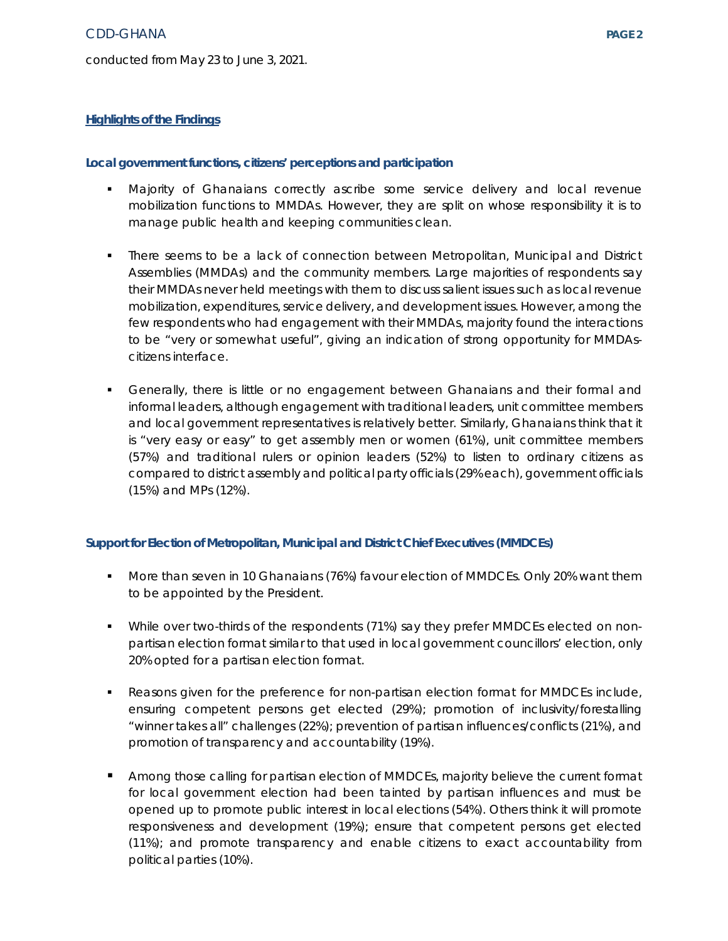#### **Local government functions, citizens' perceptions and participation**

- Majority of Ghanaians correctly ascribe some service delivery and local revenue mobilization functions to MMDAs. However, they are split on whose responsibility it is to manage public health and keeping communities clean.
- There seems to be a lack of connection between Metropolitan, Municipal and District Assemblies (MMDAs) and the community members. Large majorities of respondents say their MMDAs never held meetings with them to discuss salient issues such as local revenue mobilization, expenditures, service delivery, and development issues. However, among the few respondents who had engagement with their MMDAs, majority found the interactions to be "very or somewhat useful", giving an indication of strong opportunity for MMDAscitizens interface.
- Generally, there is little or no engagement between Ghanaians and their formal and informal leaders, although engagement with traditional leaders, unit committee members and local government representatives is relatively better. Similarly, Ghanaians think that it is "very easy or easy" to get assembly men or women (61%), unit committee members (57%) and traditional rulers or opinion leaders (52%) to listen to ordinary citizens as compared to district assembly and political party officials (29% each), government officials (15%) and MPs (12%).

#### **Support for Election of Metropolitan, Municipal and District Chief Executives (MMDCEs)**

- More than seven in 10 Ghanaians (76%) favour election of MMDCEs. Only 20% want them to be appointed by the President.
- While over two-thirds of the respondents (71%) say they prefer MMDCEs elected on nonpartisan election format similar to that used in local government councillors' election, only 20% opted for a partisan election format.
- **Reasons given for the preference for non-partisan election format for MMDCEs include,** ensuring competent persons get elected (29%); promotion of inclusivity/forestalling "winner takes all" challenges (22%); prevention of partisan influences/conflicts (21%), and promotion of transparency and accountability (19%).
- **Among those calling for partisan election of MMDCEs, majority believe the current format** for local government election had been tainted by partisan influences and must be opened up to promote public interest in local elections (54%). Others think it will promote responsiveness and development (19%); ensure that competent persons get elected (11%); and promote transparency and enable citizens to exact accountability from political parties (10%).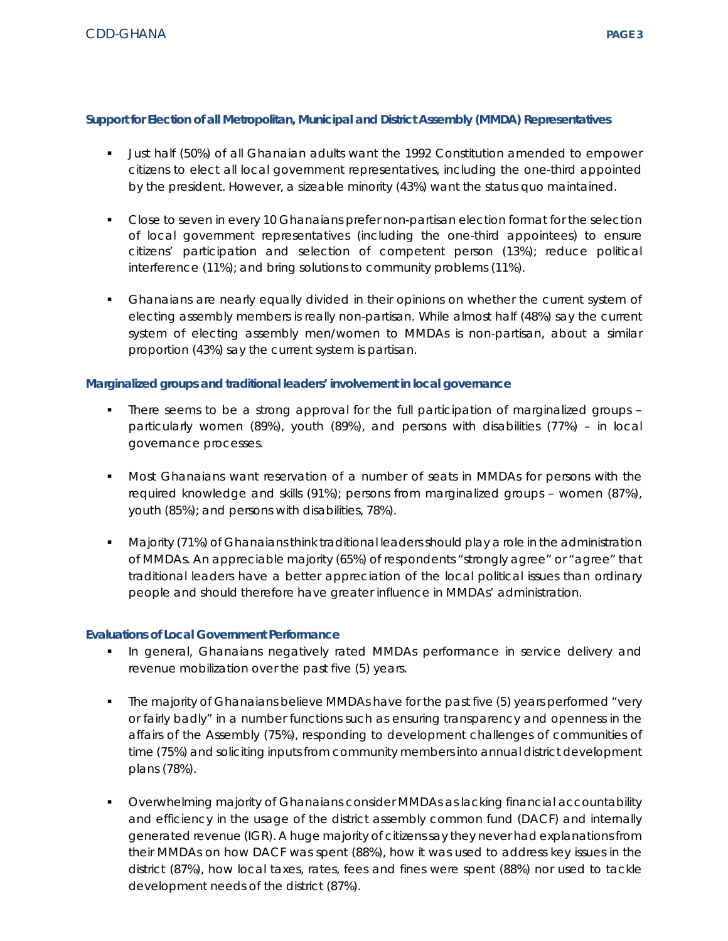## **Support for Election of all Metropolitan, Municipal and District Assembly (MMDA) Representatives**

- Just half (50%) of all Ghanaian adults want the 1992 Constitution amended to empower citizens to elect all local government representatives, including the one-third appointed by the president. However, a sizeable minority (43%) want the status quo maintained.
- **Close to seven in every 10 Ghanaians prefer non-partisan election format for the selection** of local government representatives (including the one-third appointees) to ensure citizens' participation and selection of competent person (13%); reduce political interference (11%); and bring solutions to community problems (11%).
- Ghanaians are nearly equally divided in their opinions on whether the current system of electing assembly members is really non-partisan. While almost half (48%) say the current system of electing assembly men/women to MMDAs is non-partisan, about a similar proportion (43%) say the current system is partisan.

## **Marginalized groups and traditional leaders' involvement in local governance**

- There seems to be a strong approval for the full participation of marginalized groups particularly women (89%), youth (89%), and persons with disabilities (77%) – in local governance processes.
- Most Ghanaians want reservation of a number of seats in MMDAs for persons with the required knowledge and skills (91%); persons from marginalized groups – women (87%), youth (85%); and persons with disabilities, 78%).
- Majority (71%) of Ghanaians think traditional leaders should play a role in the administration of MMDAs. An appreciable majority (65%) of respondents "strongly agree" or "agree" that traditional leaders have a better appreciation of the local political issues than ordinary people and should therefore have greater influence in MMDAs' administration.

### **Evaluations of Local Government Performance**

- In general, Ghanaians negatively rated MMDAs performance in service delivery and revenue mobilization over the past five (5) years.
- The majority of Ghanaians believe MMDAs have for the past five (5) years performed "very or fairly badly" in a number functions such as ensuring transparency and openness in the affairs of the Assembly (75%), responding to development challenges of communities of time (75%) and soliciting inputs from community members into annual district development plans (78%).
- Overwhelming majority of Ghanaians consider MMDAs as lacking financial accountability and efficiency in the usage of the district assembly common fund (DACF) and internally generated revenue (IGR). A huge majority of citizens say they never had explanations from their MMDAs on how DACF was spent (88%), how it was used to address key issues in the district (87%), how local taxes, rates, fees and fines were spent (88%) nor used to tackle development needs of the district (87%).